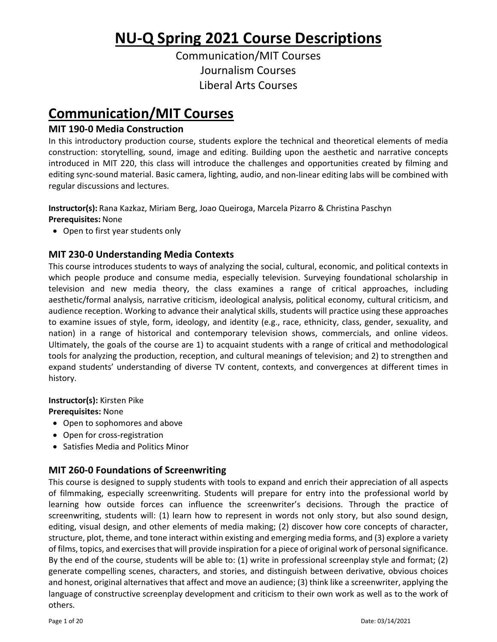**NU‐Q Spring 2021 Course Descriptions**

Communication/MIT Courses Journalism Courses Liberal Arts Courses

# **Communication/MIT Courses**

# **MIT 190‐0 Media Construction**

In this introductory production course, students explore the technical and theoretical elements of media construction: storytelling, sound, image and editing. Building upon the aesthetic and narrative concepts introduced in MIT 220, this class will introduce the challenges and opportunities created by filming and editing sync‐sound material. Basic camera, lighting, audio, and non‐linear editing labs will be combined with regular discussions and lectures.

# **Instructor(s):** Rana Kazkaz, Miriam Berg, Joao Queiroga, Marcela Pizarro & Christina Paschyn

**Prerequisites:** None

• Open to first year students only

# **MIT 230‐0 Understanding Media Contexts**

This course introduces students to ways of analyzing the social, cultural, economic, and political contexts in which people produce and consume media, especially television. Surveying foundational scholarship in television and new media theory, the class examines a range of critical approaches, including aesthetic/formal analysis, narrative criticism, ideological analysis, political economy, cultural criticism, and audience reception. Working to advance their analytical skills, students will practice using these approaches to examine issues of style, form, ideology, and identity (e.g., race, ethnicity, class, gender, sexuality, and nation) in a range of historical and contemporary television shows, commercials, and online videos. Ultimately, the goals of the course are 1) to acquaint students with a range of critical and methodological tools for analyzing the production, reception, and cultural meanings of television; and 2) to strengthen and expand students' understanding of diverse TV content, contexts, and convergences at different times in history.

**Instructor(s):** Kirsten Pike

**Prerequisites:** None

- Open to sophomores and above
- Open for cross-registration
- Satisfies Media and Politics Minor

# **MIT 260‐0 Foundations of Screenwriting**

This course is designed to supply students with tools to expand and enrich their appreciation of all aspects of filmmaking, especially screenwriting. Students will prepare for entry into the professional world by learning how outside forces can influence the screenwriter's decisions. Through the practice of screenwriting, students will: (1) learn how to represent in words not only story, but also sound design, editing, visual design, and other elements of media making; (2) discover how core concepts of character, structure, plot, theme, and tone interact within existing and emerging media forms, and (3) explore a variety of films, topics, and exercisesthat will provide inspiration for a piece of original work of personalsignificance. By the end of the course, students will be able to: (1) write in professional screenplay style and format; (2) generate compelling scenes, characters, and stories, and distinguish between derivative, obvious choices and honest, original alternativesthat affect and move an audience; (3) think like a screenwriter, applying the language of constructive screenplay development and criticism to their own work as well as to the work of others.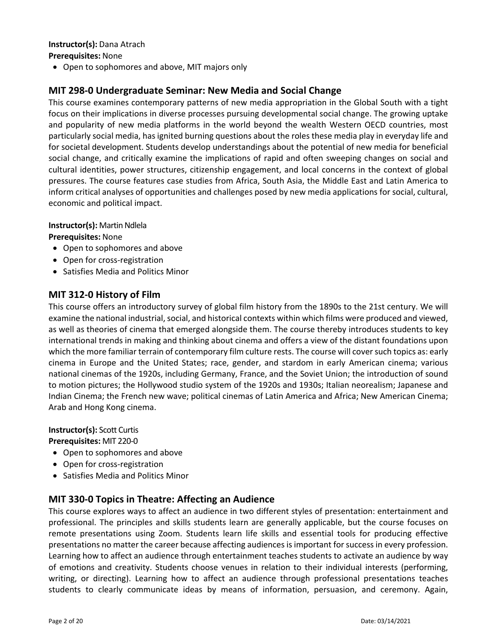# **Instructor(s):** Dana Atrach

### **Prerequisites:** None

Open to sophomores and above, MIT majors only

# **MIT 298‐0 Undergraduate Seminar: New Media and Social Change**

This course examines contemporary patterns of new media appropriation in the Global South with a tight focus on their implications in diverse processes pursuing developmental social change. The growing uptake and popularity of new media platforms in the world beyond the wealth Western OECD countries, most particularly social media, has ignited burning questions about the roles these media play in everyday life and for societal development. Students develop understandings about the potential of new media for beneficial social change, and critically examine the implications of rapid and often sweeping changes on social and cultural identities, power structures, citizenship engagement, and local concerns in the context of global pressures. The course features case studies from Africa, South Asia, the Middle East and Latin America to inform critical analyses of opportunities and challenges posed by new media applications for social, cultural, economic and political impact.

#### **Instructor(s):** Martin Ndlela

#### **Prerequisites:** None

- Open to sophomores and above
- Open for cross-registration
- Satisfies Media and Politics Minor

## **MIT 312‐0 History of Film**

This course offers an introductory survey of global film history from the 1890s to the 21st century. We will examine the national industrial, social, and historical contexts within which films were produced and viewed, as well as theories of cinema that emerged alongside them. The course thereby introduces students to key international trends in making and thinking about cinema and offers a view of the distant foundations upon which the more familiar terrain of contemporary film culture rests. The course will cover such topics as: early cinema in Europe and the United States; race, gender, and stardom in early American cinema; various national cinemas of the 1920s, including Germany, France, and the Soviet Union; the introduction of sound to motion pictures; the Hollywood studio system of the 1920s and 1930s; Italian neorealism; Japanese and Indian Cinema; the French new wave; political cinemas of Latin America and Africa; New American Cinema; Arab and Hong Kong cinema.

# **Instructor(s):** Scott Curtis

#### **Prerequisites:** MIT 220‐0

- Open to sophomores and above
- Open for cross-registration
- Satisfies Media and Politics Minor

## **MIT 330‐0 Topics in Theatre: Affecting an Audience**

This course explores ways to affect an audience in two different styles of presentation: entertainment and professional. The principles and skills students learn are generally applicable, but the course focuses on remote presentations using Zoom. Students learn life skills and essential tools for producing effective presentations no matter the career because affecting audiencesis important forsuccessin every profession. Learning how to affect an audience through entertainment teaches students to activate an audience by way of emotions and creativity. Students choose venues in relation to their individual interests (performing, writing, or directing). Learning how to affect an audience through professional presentations teaches students to clearly communicate ideas by means of information, persuasion, and ceremony. Again,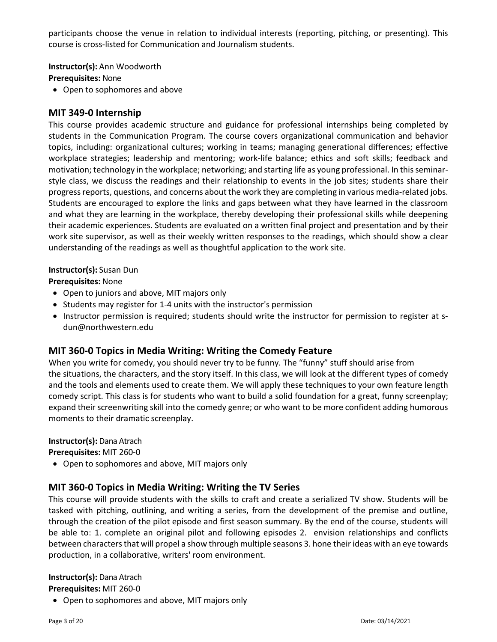participants choose the venue in relation to individual interests (reporting, pitching, or presenting). This course is cross‐listed for Communication and Journalism students.

**Instructor(s):** Ann Woodworth

**Prerequisites:** None

Open to sophomores and above

## **MIT 349‐0 Internship**

This course provides academic structure and guidance for professional internships being completed by students in the Communication Program. The course covers organizational communication and behavior topics, including: organizational cultures; working in teams; managing generational differences; effective workplace strategies; leadership and mentoring; work-life balance; ethics and soft skills; feedback and motivation; technology in the workplace; networking; and starting life as young professional. In thisseminar‐ style class, we discuss the readings and their relationship to events in the job sites; students share their progress reports, questions, and concerns about the work they are completing in various media-related jobs. Students are encouraged to explore the links and gaps between what they have learned in the classroom and what they are learning in the workplace, thereby developing their professional skills while deepening their academic experiences. Students are evaluated on a written final project and presentation and by their work site supervisor, as well as their weekly written responses to the readings, which should show a clear understanding of the readings as well as thoughtful application to the work site.

#### **Instructor(s):** Susan Dun

**Prerequisites:** None

- Open to juniors and above, MIT majors only
- Students may register for 1-4 units with the instructor's permission
- Instructor permission is required; students should write the instructor for permission to register at sdun@northwestern.edu

# **MIT 360‐0 Topics in Media Writing: Writing the Comedy Feature**

When you write for comedy, you should never try to be funny. The "funny" stuff should arise from the situations, the characters, and the story itself. In this class, we will look at the different types of comedy and the tools and elements used to create them. We will apply these techniques to your own feature length comedy script. This class is for students who want to build a solid foundation for a great, funny screenplay; expand their screenwriting skill into the comedy genre; or who want to be more confident adding humorous moments to their dramatic screenplay.

## **Instructor(s):** Dana Atrach

**Prerequisites:** MIT 260‐0

Open to sophomores and above, MIT majors only

# **MIT 360‐0 Topics in Media Writing: Writing the TV Series**

This course will provide students with the skills to craft and create a serialized TV show. Students will be tasked with pitching, outlining, and writing a series, from the development of the premise and outline, through the creation of the pilot episode and first season summary. By the end of the course, students will be able to: 1. complete an original pilot and following episodes 2. envision relationships and conflicts between characters that will propel a show through multiple seasons 3. hone their ideas with an eye towards production, in a collaborative, writers' room environment.

# **Instructor(s):** Dana Atrach

**Prerequisites:** MIT 260‐0

Open to sophomores and above, MIT majors only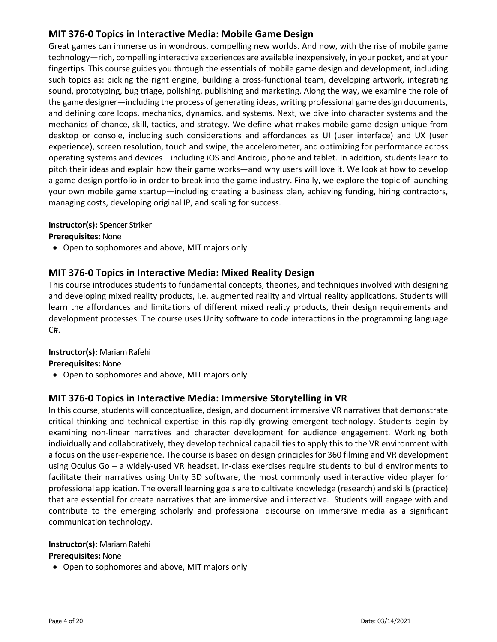# **MIT 376‐0 Topics in Interactive Media: Mobile Game Design**

Great games can immerse us in wondrous, compelling new worlds. And now, with the rise of mobile game technology—rich, compelling interactive experiences are available inexpensively, in your pocket, and at your fingertips. This course guides you through the essentials of mobile game design and development, including such topics as: picking the right engine, building a cross-functional team, developing artwork, integrating sound, prototyping, bug triage, polishing, publishing and marketing. Along the way, we examine the role of the game designer—including the process of generating ideas, writing professional game design documents, and defining core loops, mechanics, dynamics, and systems. Next, we dive into character systems and the mechanics of chance, skill, tactics, and strategy. We define what makes mobile game design unique from desktop or console, including such considerations and affordances as UI (user interface) and UX (user experience), screen resolution, touch and swipe, the accelerometer, and optimizing for performance across operating systems and devices—including iOS and Android, phone and tablet. In addition, students learn to pitch their ideas and explain how their game works—and why users will love it. We look at how to develop a game design portfolio in order to break into the game industry. Finally, we explore the topic of launching your own mobile game startup—including creating a business plan, achieving funding, hiring contractors, managing costs, developing original IP, and scaling for success.

## **Instructor(s):** Spencer Striker

**Prerequisites:** None

Open to sophomores and above, MIT majors only

# **MIT 376‐0 Topics in Interactive Media: Mixed Reality Design**

This course introduces students to fundamental concepts, theories, and techniques involved with designing and developing mixed reality products, i.e. augmented reality and virtual reality applications. Students will learn the affordances and limitations of different mixed reality products, their design requirements and development processes. The course uses Unity software to code interactions in the programming language C#.

## **Instructor(s): Mariam Rafehi**

**Prerequisites:** None

• Open to sophomores and above, MIT majors only

## **MIT 376‐0 Topics in Interactive Media: Immersive Storytelling in VR**

In this course, students will conceptualize, design, and document immersive VR narratives that demonstrate critical thinking and technical expertise in this rapidly growing emergent technology. Students begin by examining non-linear narratives and character development for audience engagement. Working both individually and collaboratively, they develop technical capabilities to apply this to the VR environment with a focus on the user-experience. The course is based on design principles for 360 filming and VR development using Oculus Go – a widely-used VR headset. In-class exercises require students to build environments to facilitate their narratives using Unity 3D software, the most commonly used interactive video player for professional application. The overall learning goals are to cultivate knowledge (research) and skills (practice) that are essential for create narratives that are immersive and interactive. Students will engage with and contribute to the emerging scholarly and professional discourse on immersive media as a significant communication technology.

#### **Instructor(s): Mariam Rafehi**

#### **Prerequisites:** None

Open to sophomores and above, MIT majors only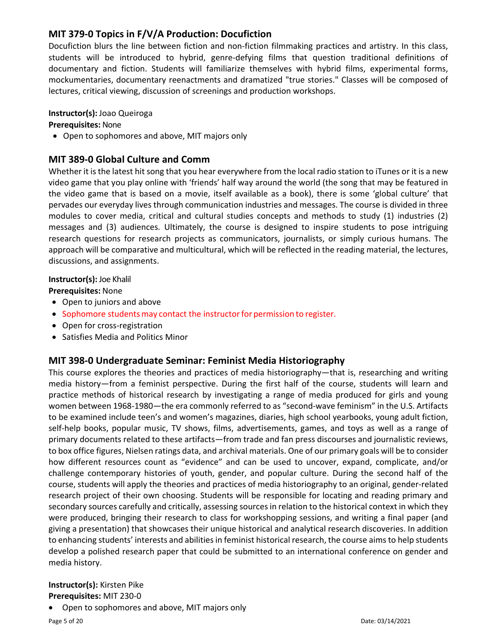# **MIT 379‐0 Topics in F/V/A Production: Docufiction**

Docufiction blurs the line between fiction and non-fiction filmmaking practices and artistry. In this class, students will be introduced to hybrid, genre-defying films that question traditional definitions of documentary and fiction. Students will familiarize themselves with hybrid films, experimental forms, mockumentaries, documentary reenactments and dramatized "true stories." Classes will be composed of lectures, critical viewing, discussion of screenings and production workshops.

### **Instructor(s):** Joao Queiroga

#### **Prerequisites:** None

Open to sophomores and above, MIT majors only

# **MIT 389‐0 Global Culture and Comm**

Whether it is the latest hit song that you hear everywhere from the local radio station to iTunes or it is a new video game that you play online with 'friends' half way around the world (the song that may be featured in the video game that is based on a movie, itself available as a book), there is some 'global culture' that pervades our everyday lives through communication industries and messages. The course is divided in three modules to cover media, critical and cultural studies concepts and methods to study (1) industries (2) messages and (3) audiences. Ultimately, the course is designed to inspire students to pose intriguing research questions for research projects as communicators, journalists, or simply curious humans. The approach will be comparative and multicultural, which will be reflected in the reading material, the lectures, discussions, and assignments.

#### **Instructor(s):** Joe Khalil

#### **Prerequisites:** None

- Open to juniors and above
- Sophomore students may contact the instructor for permission to register.
- Open for cross-registration
- Satisfies Media and Politics Minor

# **MIT 398‐0 Undergraduate Seminar: Feminist Media Historiography**

This course explores the theories and practices of media historiography—that is, researching and writing media history—from a feminist perspective. During the first half of the course, students will learn and practice methods of historical research by investigating a range of media produced for girls and young women between 1968-1980—the era commonly referred to as "second-wave feminism" in the U.S. Artifacts to be examined include teen's and women's magazines, diaries, high school yearbooks, young adult fiction, self-help books, popular music, TV shows, films, advertisements, games, and toys as well as a range of primary documents related to these artifacts—from trade and fan press discourses and journalistic reviews, to box office figures, Nielsen ratings data, and archival materials. One of our primary goals will be to consider how different resources count as "evidence" and can be used to uncover, expand, complicate, and/or challenge contemporary histories of youth, gender, and popular culture. During the second half of the course, students will apply the theories and practices of media historiography to an original, gender‐related research project of their own choosing. Students will be responsible for locating and reading primary and secondary sources carefully and critically, assessing sourcesin relation to the historical context in which they were produced, bringing their research to class for workshopping sessions, and writing a final paper (and giving a presentation) that showcases their unique historical and analytical research discoveries. In addition to enhancing students' interests and abilities in feminist historical research, the course aims to help students develop a polished research paper that could be submitted to an international conference on gender and media history.

#### **Instructor(s):** Kirsten Pike **Prerequisites:** MIT 230‐0

Open to sophomores and above, MIT majors only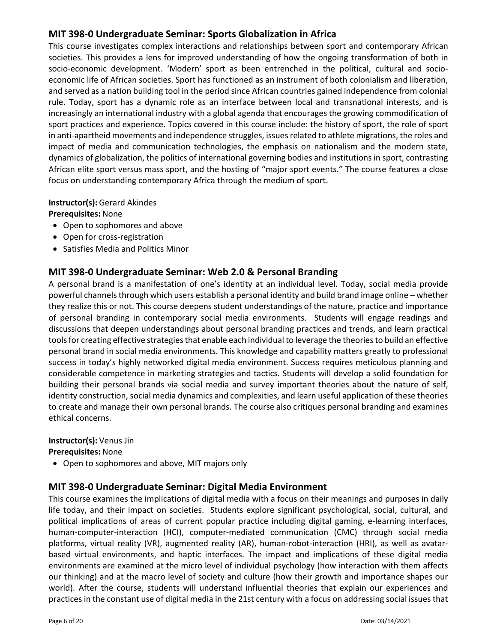# **MIT 398‐0 Undergraduate Seminar: Sports Globalization in Africa**

This course investigates complex interactions and relationships between sport and contemporary African societies. This provides a lens for improved understanding of how the ongoing transformation of both in socio-economic development. 'Modern' sport as been entrenched in the political, cultural and socioeconomic life of African societies. Sport has functioned as an instrument of both colonialism and liberation, and served as a nation building tool in the period since African countries gained independence from colonial rule. Today, sport has a dynamic role as an interface between local and transnational interests, and is increasingly an international industry with a global agenda that encourages the growing commodification of sport practices and experience. Topics covered in this course include: the history of sport, the role of sport in anti-apartheid movements and independence struggles, issues related to athlete migrations, the roles and impact of media and communication technologies, the emphasis on nationalism and the modern state, dynamics of globalization, the politics of international governing bodies and institutions in sport, contrasting African elite sport versus mass sport, and the hosting of "major sport events." The course features a close focus on understanding contemporary Africa through the medium of sport.

## **Instructor(s):** Gerard Akindes

**Prerequisites:** None

- Open to sophomores and above
- Open for cross-registration
- Satisfies Media and Politics Minor

# **MIT 398‐0 Undergraduate Seminar: Web 2.0 & Personal Branding**

A personal brand is a manifestation of one's identity at an individual level. Today, social media provide powerful channels through which users establish a personal identity and build brand image online – whether they realize this or not. This course deepens student understandings of the nature, practice and importance of personal branding in contemporary social media environments. Students will engage readings and discussions that deepen understandings about personal branding practices and trends, and learn practical tools for creating effective strategies that enable each individual to leverage the theories to build an effective personal brand in social media environments. This knowledge and capability matters greatly to professional success in today's highly networked digital media environment. Success requires meticulous planning and considerable competence in marketing strategies and tactics. Students will develop a solid foundation for building their personal brands via social media and survey important theories about the nature of self, identity construction, social media dynamics and complexities, and learn useful application of these theories to create and manage their own personal brands. The course also critiques personal branding and examines ethical concerns.

## **Instructor(s):** Venus Jin

**Prerequisites:** None

Open to sophomores and above, MIT majors only

# **MIT 398‐0 Undergraduate Seminar: Digital Media Environment**

This course examines the implications of digital media with a focus on their meanings and purposes in daily life today, and their impact on societies. Students explore significant psychological, social, cultural, and political implications of areas of current popular practice including digital gaming, e‐learning interfaces, human-computer-interaction (HCI), computer-mediated communication (CMC) through social media platforms, virtual reality (VR), augmented reality (AR), human-robot-interaction (HRI), as well as avatarbased virtual environments, and haptic interfaces. The impact and implications of these digital media environments are examined at the micro level of individual psychology (how interaction with them affects our thinking) and at the macro level of society and culture (how their growth and importance shapes our world). After the course, students will understand influential theories that explain our experiences and practices in the constant use of digital media in the 21st century with a focus on addressing social issues that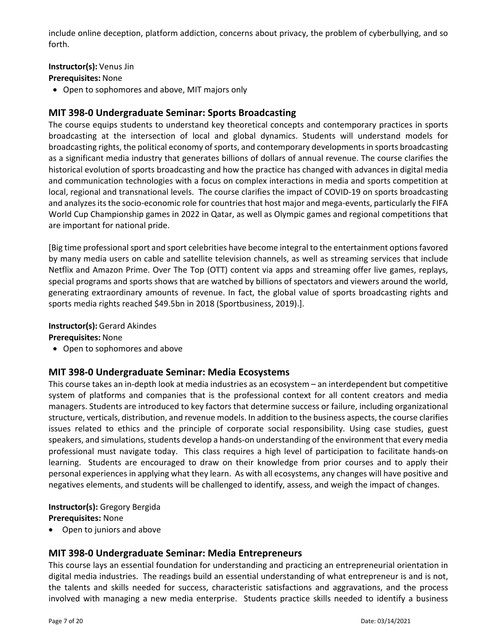include online deception, platform addiction, concerns about privacy, the problem of cyberbullying, and so forth.

## **Instructor(s):** Venus Jin

**Prerequisites:** None

Open to sophomores and above, MIT majors only

# **MIT 398‐0 Undergraduate Seminar: Sports Broadcasting**

The course equips students to understand key theoretical concepts and contemporary practices in sports broadcasting at the intersection of local and global dynamics. Students will understand models for broadcasting rights, the political economy of sports, and contemporary developments in sports broadcasting as a significant media industry that generates billions of dollars of annual revenue. The course clarifies the historical evolution of sports broadcasting and how the practice has changed with advances in digital media and communication technologies with a focus on complex interactions in media and sports competition at local, regional and transnational levels. The course clarifies the impact of COVID‐19 on sports broadcasting and analyzes its the socio-economic role for countries that host major and mega-events, particularly the FIFA World Cup Championship games in 2022 in Qatar, as well as Olympic games and regional competitions that are important for national pride.

[Big time professional sport and sport celebrities have become integral to the entertainment options favored by many media users on cable and satellite television channels, as well as streaming services that include Netflix and Amazon Prime. Over The Top (OTT) content via apps and streaming offer live games, replays, special programs and sports shows that are watched by billions of spectators and viewers around the world, generating extraordinary amounts of revenue. In fact, the global value of sports broadcasting rights and sports media rights reached \$49.5bn in 2018 (Sportbusiness, 2019).].

## **Instructor(s):** Gerard Akindes

**Prerequisites:** None

Open to sophomores and above

# **MIT 398‐0 Undergraduate Seminar: Media Ecosystems**

This course takes an in‐depth look at media industries as an ecosystem – an interdependent but competitive system of platforms and companies that is the professional context for all content creators and media managers. Students are introduced to key factors that determine success or failure, including organizational structure, verticals, distribution, and revenue models. In addition to the business aspects, the course clarifies issues related to ethics and the principle of corporate social responsibility. Using case studies, guest speakers, and simulations, students develop a hands‐on understanding of the environment that every media professional must navigate today. This class requires a high level of participation to facilitate hands‐on learning. Students are encouraged to draw on their knowledge from prior courses and to apply their personal experiences in applying what they learn. As with all ecosystems, any changes will have positive and negatives elements, and students will be challenged to identify, assess, and weigh the impact of changes.

# **Instructor(s):** Gregory Bergida **Prerequisites:** None

Open to juniors and above

# **MIT 398‐0 Undergraduate Seminar: Media Entrepreneurs**

This course lays an essential foundation for understanding and practicing an entrepreneurial orientation in digital media industries. The readings build an essential understanding of what entrepreneur is and is not, the talents and skills needed for success, characteristic satisfactions and aggravations, and the process involved with managing a new media enterprise. Students practice skills needed to identify a business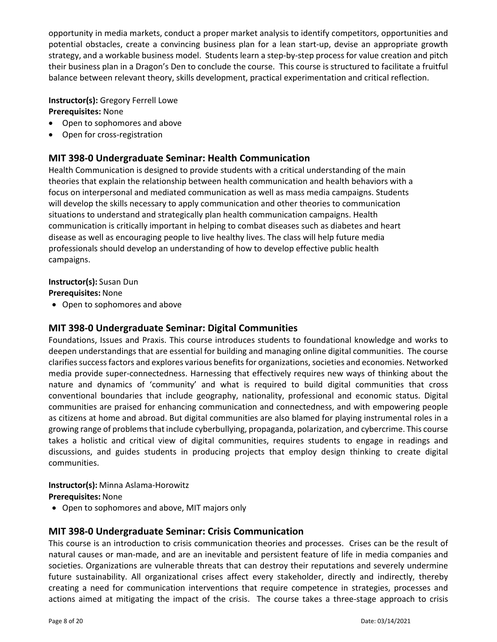opportunity in media markets, conduct a proper market analysis to identify competitors, opportunities and potential obstacles, create a convincing business plan for a lean start-up, devise an appropriate growth strategy, and a workable business model. Students learn a step‐by‐step process for value creation and pitch their business plan in a Dragon's Den to conclude the course. This course is structured to facilitate a fruitful balance between relevant theory, skills development, practical experimentation and critical reflection.

## **Instructor(s):** Gregory Ferrell Lowe **Prerequisites:** None

- Open to sophomores and above
- Open for cross-registration

## **MIT 398‐0 Undergraduate Seminar: Health Communication**

Health Communication is designed to provide students with a critical understanding of the main theories that explain the relationship between health communication and health behaviors with a focus on interpersonal and mediated communication as well as mass media campaigns. Students will develop the skills necessary to apply communication and other theories to communication situations to understand and strategically plan health communication campaigns. Health communication is critically important in helping to combat diseases such as diabetes and heart disease as well as encouraging people to live healthy lives. The class will help future media professionals should develop an understanding of how to develop effective public health campaigns.

#### **Instructor(s):** Susan Dun

**Prerequisites:** None

Open to sophomores and above

# **MIT 398‐0 Undergraduate Seminar: Digital Communities**

Foundations, Issues and Praxis. This course introduces students to foundational knowledge and works to deepen understandings that are essential for building and managing online digital communities. The course clarifies success factors and explores various benefits for organizations, societies and economies. Networked media provide super‐connectedness. Harnessing that effectively requires new ways of thinking about the nature and dynamics of 'community' and what is required to build digital communities that cross conventional boundaries that include geography, nationality, professional and economic status. Digital communities are praised for enhancing communication and connectedness, and with empowering people as citizens at home and abroad. But digital communities are also blamed for playing instrumental roles in a growing range of problemsthat include cyberbullying, propaganda, polarization, and cybercrime. This course takes a holistic and critical view of digital communities, requires students to engage in readings and discussions, and guides students in producing projects that employ design thinking to create digital communities.

#### **Instructor(s):** Minna Aslama‐Horowitz

**Prerequisites:** None

Open to sophomores and above, MIT majors only

# **MIT 398‐0 Undergraduate Seminar: Crisis Communication**

This course is an introduction to crisis communication theories and processes. Crises can be the result of natural causes or man‐made, and are an inevitable and persistent feature of life in media companies and societies. Organizations are vulnerable threats that can destroy their reputations and severely undermine future sustainability. All organizational crises affect every stakeholder, directly and indirectly, thereby creating a need for communication interventions that require competence in strategies, processes and actions aimed at mitigating the impact of the crisis. The course takes a three-stage approach to crisis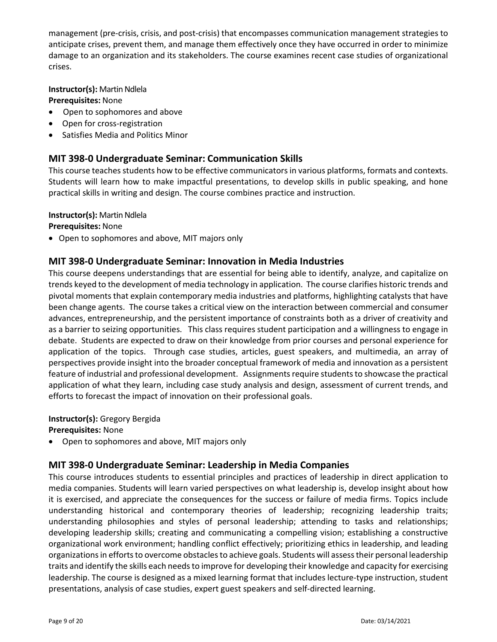management (pre‐crisis, crisis, and post‐crisis) that encompasses communication management strategies to anticipate crises, prevent them, and manage them effectively once they have occurred in order to minimize damage to an organization and its stakeholders. The course examines recent case studies of organizational crises.

**Instructor(s): Martin Ndlela** 

**Prerequisites:** None

- Open to sophomores and above
- Open for cross-registration
- Satisfies Media and Politics Minor

## **MIT 398‐0 Undergraduate Seminar: Communication Skills**

This course teaches students how to be effective communicators in various platforms, formats and contexts. Students will learn how to make impactful presentations, to develop skills in public speaking, and hone practical skills in writing and design. The course combines practice and instruction.

#### **Instructor(s): Martin Ndlela**

**Prerequisites:** None

Open to sophomores and above, MIT majors only

# **MIT 398‐0 Undergraduate Seminar: Innovation in Media Industries**

This course deepens understandings that are essential for being able to identify, analyze, and capitalize on trends keyed to the development of media technology in application. The course clarifies historic trends and pivotal moments that explain contemporary media industries and platforms, highlighting catalysts that have been change agents. The course takes a critical view on the interaction between commercial and consumer advances, entrepreneurship, and the persistent importance of constraints both as a driver of creativity and as a barrier to seizing opportunities. This class requires student participation and a willingness to engage in debate. Students are expected to draw on their knowledge from prior courses and personal experience for application of the topics. Through case studies, articles, guest speakers, and multimedia, an array of perspectives provide insight into the broader conceptual framework of media and innovation as a persistent feature of industrial and professional development. Assignments require students to showcase the practical application of what they learn, including case study analysis and design, assessment of current trends, and efforts to forecast the impact of innovation on their professional goals.

## **Instructor(s):** Gregory Bergida

**Prerequisites:** None

Open to sophomores and above, MIT majors only

# **MIT 398‐0 Undergraduate Seminar: Leadership in Media Companies**

This course introduces students to essential principles and practices of leadership in direct application to media companies. Students will learn varied perspectives on what leadership is, develop insight about how it is exercised, and appreciate the consequences for the success or failure of media firms. Topics include understanding historical and contemporary theories of leadership; recognizing leadership traits; understanding philosophies and styles of personal leadership; attending to tasks and relationships; developing leadership skills; creating and communicating a compelling vision; establishing a constructive organizational work environment; handling conflict effectively; prioritizing ethics in leadership, and leading organizations in efforts to overcome obstacles to achieve goals. Students will assess their personal leadership traits and identify the skills each needsto improve for developing their knowledge and capacity for exercising leadership. The course is designed as a mixed learning format that includes lecture‐type instruction, student presentations, analysis of case studies, expert guest speakers and self‐directed learning.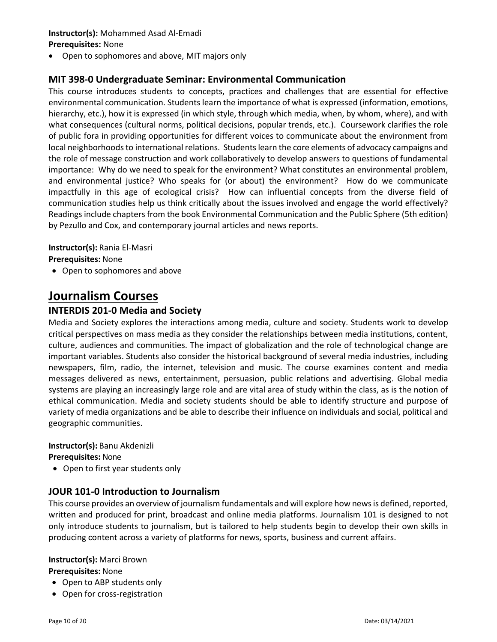# **Instructor(s):** Mohammed Asad Al‐Emadi

### **Prerequisites:** None

Open to sophomores and above, MIT majors only

# **MIT 398‐0 Undergraduate Seminar: Environmental Communication**

This course introduces students to concepts, practices and challenges that are essential for effective environmental communication. Students learn the importance of what is expressed (information, emotions, hierarchy, etc.), how it is expressed (in which style, through which media, when, by whom, where), and with what consequences (cultural norms, political decisions, popular trends, etc.). Coursework clarifies the role of public fora in providing opportunities for different voices to communicate about the environment from local neighborhoods to international relations. Students learn the core elements of advocacy campaigns and the role of message construction and work collaboratively to develop answers to questions of fundamental importance: Why do we need to speak for the environment? What constitutes an environmental problem, and environmental justice? Who speaks for (or about) the environment? How do we communicate impactfully in this age of ecological crisis? How can influential concepts from the diverse field of communication studies help us think critically about the issues involved and engage the world effectively? Readings include chapters from the book Environmental Communication and the Public Sphere (5th edition) by Pezullo and Cox, and contemporary journal articles and news reports.

**Instructor(s):** Rania El‐Masri

**Prerequisites:** None

Open to sophomores and above

# **Journalism Courses**

# **INTERDIS 201‐0 Media and Society**

Media and Society explores the interactions among media, culture and society. Students work to develop critical perspectives on mass media as they consider the relationships between media institutions, content, culture, audiences and communities. The impact of globalization and the role of technological change are important variables. Students also consider the historical background of several media industries, including newspapers, film, radio, the internet, television and music. The course examines content and media messages delivered as news, entertainment, persuasion, public relations and advertising. Global media systems are playing an increasingly large role and are vital area of study within the class, as is the notion of ethical communication. Media and society students should be able to identify structure and purpose of variety of media organizations and be able to describe their influence on individuals and social, political and geographic communities.

#### **Instructor(s):** Banu Akdenizli

**Prerequisites:** None

• Open to first year students only

# **JOUR 101‐0 Introduction to Journalism**

This course provides an overview of journalism fundamentals and will explore how news is defined, reported, written and produced for print, broadcast and online media platforms. Journalism 101 is designed to not only introduce students to journalism, but is tailored to help students begin to develop their own skills in producing content across a variety of platforms for news, sports, business and current affairs.

## **Instructor(s):** Marci Brown

**Prerequisites:** None

- Open to ABP students only
- Open for cross-registration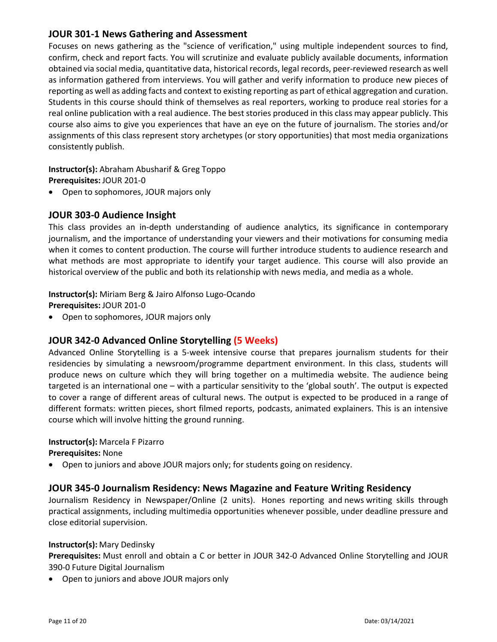## **JOUR 301‐1 News Gathering and Assessment**

Focuses on news gathering as the "science of verification," using multiple independent sources to find, confirm, check and report facts. You will scrutinize and evaluate publicly available documents, information obtained via social media, quantitative data, historical records, legal records, peer‐reviewed research as well as information gathered from interviews. You will gather and verify information to produce new pieces of reporting as well as adding facts and context to existing reporting as part of ethical aggregation and curation. Students in this course should think of themselves as real reporters, working to produce real stories for a real online publication with a real audience. The best stories produced in this class may appear publicly. This course also aims to give you experiences that have an eye on the future of journalism. The stories and/or assignments of this class represent story archetypes (or story opportunities) that most media organizations consistently publish.

**Instructor(s):** Abraham Abusharif & Greg Toppo **Prerequisites:** JOUR 201‐0

Open to sophomores, JOUR majors only

## **JOUR 303‐0 Audience Insight**

This class provides an in‐depth understanding of audience analytics, its significance in contemporary journalism, and the importance of understanding your viewers and their motivations for consuming media when it comes to content production. The course will further introduce students to audience research and what methods are most appropriate to identify your target audience. This course will also provide an historical overview of the public and both its relationship with news media, and media as a whole.

## **Instructor(s):** Miriam Berg & Jairo Alfonso Lugo‐Ocando

**Prerequisites:** JOUR 201‐0

Open to sophomores, JOUR majors only

# **JOUR 342‐0 Advanced Online Storytelling (5 Weeks)**

Advanced Online Storytelling is a 5‐week intensive course that prepares journalism students for their residencies by simulating a newsroom/programme department environment. In this class, students will produce news on culture which they will bring together on a multimedia website. The audience being targeted is an international one – with a particular sensitivity to the 'global south'. The output is expected to cover a range of different areas of cultural news. The output is expected to be produced in a range of different formats: written pieces, short filmed reports, podcasts, animated explainers. This is an intensive course which will involve hitting the ground running.

# **Instructor(s):** Marcela F Pizarro

**Prerequisites:** None

Open to juniors and above JOUR majors only; for students going on residency.

## **JOUR 345‐0 Journalism Residency: News Magazine and Feature Writing Residency**

Journalism Residency in Newspaper/Online (2 units). Hones reporting and news writing skills through practical assignments, including multimedia opportunities whenever possible, under deadline pressure and close editorial supervision.

#### **Instructor(s):** Mary Dedinsky

**Prerequisites:** Must enroll and obtain a C or better in JOUR 342‐0 Advanced Online Storytelling and JOUR 390‐0 Future Digital Journalism

Open to juniors and above JOUR majors only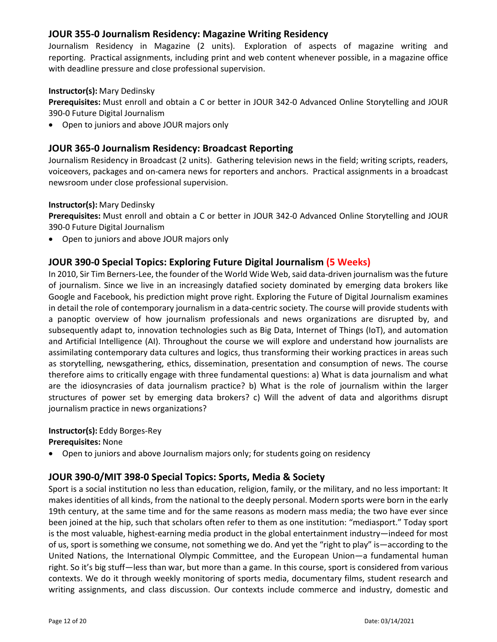## **JOUR 355‐0 Journalism Residency: Magazine Writing Residency**

Journalism Residency in Magazine (2 units). Exploration of aspects of magazine writing and reporting. Practical assignments, including print and web content whenever possible, in a magazine office with deadline pressure and close professional supervision.

### **Instructor(s):** Mary Dedinsky

**Prerequisites:** Must enroll and obtain a C or better in JOUR 342‐0 Advanced Online Storytelling and JOUR 390‐0 Future Digital Journalism

Open to juniors and above JOUR majors only

## **JOUR 365‐0 Journalism Residency: Broadcast Reporting**

Journalism Residency in Broadcast (2 units). Gathering television news in the field; writing scripts, readers, voiceovers, packages and on‐camera news for reporters and anchors. Practical assignments in a broadcast newsroom under close professional supervision.

#### **Instructor(s):** Mary Dedinsky

**Prerequisites:** Must enroll and obtain a C or better in JOUR 342‐0 Advanced Online Storytelling and JOUR 390‐0 Future Digital Journalism

Open to juniors and above JOUR majors only

# **JOUR 390‐0 Special Topics: Exploring Future Digital Journalism (5 Weeks)**

In 2010, Sir Tim Berners-Lee, the founder of the World Wide Web, said data-driven journalism was the future of journalism. Since we live in an increasingly datafied society dominated by emerging data brokers like Google and Facebook, his prediction might prove right. Exploring the Future of Digital Journalism examines in detail the role of contemporary journalism in a data-centric society. The course will provide students with a panoptic overview of how journalism professionals and news organizations are disrupted by, and subsequently adapt to, innovation technologies such as Big Data, Internet of Things (IoT), and automation and Artificial Intelligence (AI). Throughout the course we will explore and understand how journalists are assimilating contemporary data cultures and logics, thus transforming their working practices in areas such as storytelling, newsgathering, ethics, dissemination, presentation and consumption of news. The course therefore aims to critically engage with three fundamental questions: a) What is data journalism and what are the idiosyncrasies of data journalism practice? b) What is the role of journalism within the larger structures of power set by emerging data brokers? c) Will the advent of data and algorithms disrupt journalism practice in news organizations?

#### **Instructor(s):** Eddy Borges‐Rey

**Prerequisites:** None

Open to juniors and above Journalism majors only; for students going on residency

# **JOUR 390‐0/MIT 398‐0 Special Topics: Sports, Media & Society**

Sport is a social institution no less than education, religion, family, or the military, and no less important: It makes identities of all kinds, from the national to the deeply personal. Modern sports were born in the early 19th century, at the same time and for the same reasons as modern mass media; the two have ever since been joined at the hip, such that scholars often refer to them as one institution: "mediasport." Today sport is the most valuable, highest‐earning media product in the global entertainment industry—indeed for most of us, sport is something we consume, not something we do. And yet the "right to play" is—according to the United Nations, the International Olympic Committee, and the European Union—a fundamental human right. So it's big stuff—less than war, but more than a game. In this course, sport is considered from various contexts. We do it through weekly monitoring of sports media, documentary films, student research and writing assignments, and class discussion. Our contexts include commerce and industry, domestic and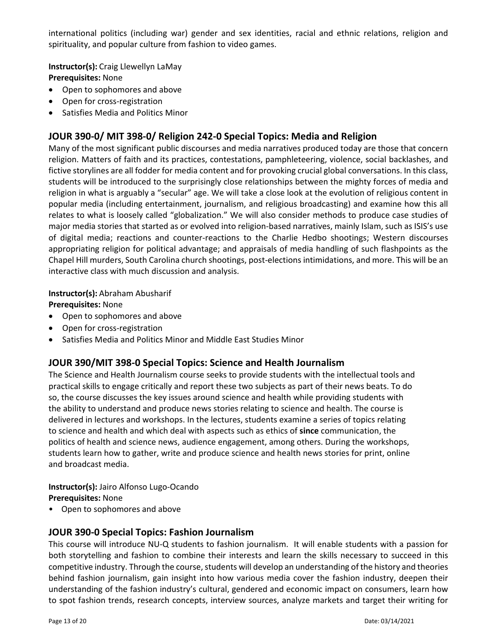international politics (including war) gender and sex identities, racial and ethnic relations, religion and spirituality, and popular culture from fashion to video games.

**Instructor(s):** Craig Llewellyn LaMay **Prerequisites:** None

- Open to sophomores and above
- Open for cross-registration
- Satisfies Media and Politics Minor

# **JOUR 390‐0/ MIT 398‐0/ Religion 242‐0 Special Topics: Media and Religion**

Many of the most significant public discourses and media narratives produced today are those that concern religion. Matters of faith and its practices, contestations, pamphleteering, violence, social backlashes, and fictive storylines are all fodder for media content and for provoking crucial global conversations. In this class, students will be introduced to the surprisingly close relationships between the mighty forces of media and religion in what is arguably a "secular" age. We will take a close look at the evolution of religious content in popular media (including entertainment, journalism, and religious broadcasting) and examine how this all relates to what is loosely called "globalization." We will also consider methods to produce case studies of major media stories that started as or evolved into religion‐based narratives, mainly Islam, such as ISIS's use of digital media; reactions and counter‐reactions to the Charlie Hedbo shootings; Western discourses appropriating religion for political advantage; and appraisals of media handling of such flashpoints as the Chapel Hill murders, South Carolina church shootings, post‐elections intimidations, and more. This will be an interactive class with much discussion and analysis.

## **Instructor(s):** Abraham Abusharif

**Prerequisites:** None

- Open to sophomores and above
- Open for cross-registration
- Satisfies Media and Politics Minor and Middle East Studies Minor

# **JOUR 390/MIT 398‐0 Special Topics: Science and Health Journalism**

The Science and Health Journalism course seeks to provide students with the intellectual tools and practical skills to engage critically and report these two subjects as part of their news beats. To do so, the course discusses the key issues around science and health while providing students with the ability to understand and produce news stories relating to science and health. The course is delivered in lectures and workshops. In the lectures, students examine a series of topics relating to science and health and which deal with aspects such as ethics of **since** communication, the politics of health and science news, audience engagement, among others. During the workshops, students learn how to gather, write and produce science and health news stories for print, online and broadcast media.

**Instructor(s):** Jairo Alfonso Lugo‐Ocando **Prerequisites:** None

• Open to sophomores and above

## **JOUR 390‐0 Special Topics: Fashion Journalism**

This course will introduce NU‐Q students to fashion journalism. It will enable students with a passion for both storytelling and fashion to combine their interests and learn the skills necessary to succeed in this competitive industry. Through the course, students will develop an understanding of the history and theories behind fashion journalism, gain insight into how various media cover the fashion industry, deepen their understanding of the fashion industry's cultural, gendered and economic impact on consumers, learn how to spot fashion trends, research concepts, interview sources, analyze markets and target their writing for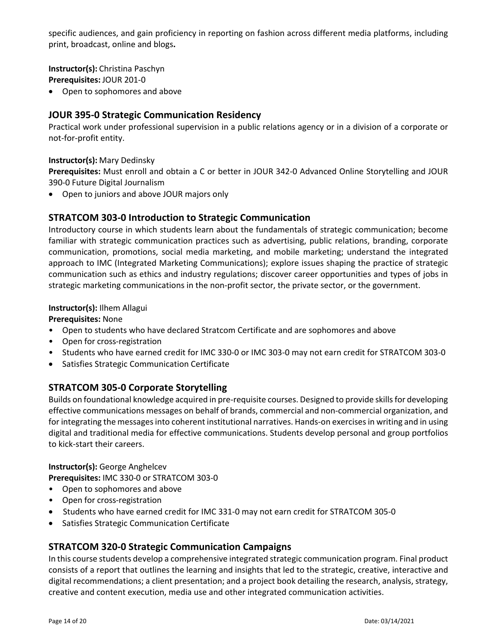specific audiences, and gain proficiency in reporting on fashion across different media platforms, including print, broadcast, online and blogs**.** 

**Instructor(s):** Christina Paschyn **Prerequisites:** JOUR 201‐0

Open to sophomores and above

## **JOUR 395‐0 Strategic Communication Residency**

Practical work under professional supervision in a public relations agency or in a division of a corporate or not‐for‐profit entity.

#### **Instructor(s):** Mary Dedinsky

**Prerequisites:** Must enroll and obtain a C or better in JOUR 342‐0 Advanced Online Storytelling and JOUR 390‐0 Future Digital Journalism

Open to juniors and above JOUR majors only

## **STRATCOM 303‐0 Introduction to Strategic Communication**

Introductory course in which students learn about the fundamentals of strategic communication; become familiar with strategic communication practices such as advertising, public relations, branding, corporate communication, promotions, social media marketing, and mobile marketing; understand the integrated approach to IMC (Integrated Marketing Communications); explore issues shaping the practice of strategic communication such as ethics and industry regulations; discover career opportunities and types of jobs in strategic marketing communications in the non‐profit sector, the private sector, or the government.

#### **Instructor(s):** Ilhem Allagui

**Prerequisites:** None

- Open to students who have declared Stratcom Certificate and are sophomores and above
- Open for cross-registration
- Students who have earned credit for IMC 330‐0 or IMC 303‐0 may not earn credit for STRATCOM 303‐0
- Satisfies Strategic Communication Certificate

# **STRATCOM 305‐0 Corporate Storytelling**

Builds on foundational knowledge acquired in pre-requisite courses. Designed to provide skills for developing effective communications messages on behalf of brands, commercial and non‐commercial organization, and for integrating the messages into coherent institutional narratives. Hands-on exercises in writing and in using digital and traditional media for effective communications. Students develop personal and group portfolios to kick‐start their careers.

**Instructor(s):** George Anghelcev **Prerequisites:** IMC 330‐0 or STRATCOM 303‐0

- Open to sophomores and above
- Open for cross-registration
- Students who have earned credit for IMC 331-0 may not earn credit for STRATCOM 305-0
- Satisfies Strategic Communication Certificate

# **STRATCOM 320‐0 Strategic Communication Campaigns**

In this course students develop a comprehensive integrated strategic communication program. Final product consists of a report that outlines the learning and insights that led to the strategic, creative, interactive and digital recommendations; a client presentation; and a project book detailing the research, analysis, strategy, creative and content execution, media use and other integrated communication activities.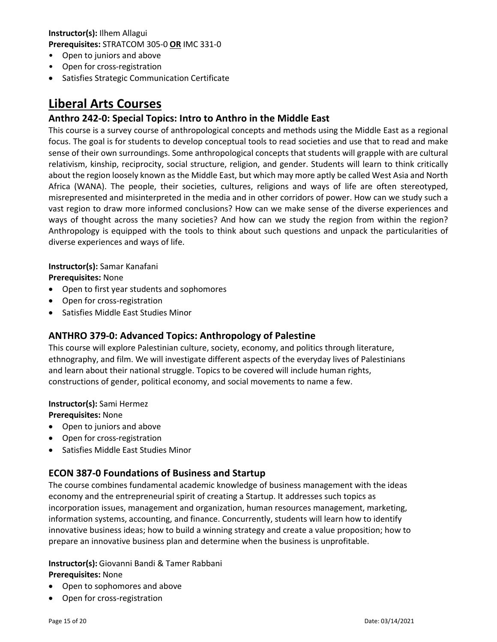**Instructor(s):** Ilhem Allagui **Prerequisites:** STRATCOM 305‐0 **OR** IMC 331‐0

- Open to juniors and above
- Open for cross-registration
- Satisfies Strategic Communication Certificate

# **Liberal Arts Courses**

# **Anthro 242‐0: Special Topics: Intro to Anthro in the Middle East**

This course is a survey course of anthropological concepts and methods using the Middle East as a regional focus. The goal is for students to develop conceptual tools to read societies and use that to read and make sense of their own surroundings. Some anthropological concepts that students will grapple with are cultural relativism, kinship, reciprocity, social structure, religion, and gender. Students will learn to think critically about the region loosely known as the Middle East, but which may more aptly be called West Asia and North Africa (WANA). The people, their societies, cultures, religions and ways of life are often stereotyped, misrepresented and misinterpreted in the media and in other corridors of power. How can we study such a vast region to draw more informed conclusions? How can we make sense of the diverse experiences and ways of thought across the many societies? And how can we study the region from within the region? Anthropology is equipped with the tools to think about such questions and unpack the particularities of diverse experiences and ways of life.

# **Instructor(s):** Samar Kanafani

**Prerequisites:** None 

- Open to first year students and sophomores
- Open for cross-registration
- Satisfies Middle East Studies Minor

# **ANTHRO 379‐0: Advanced Topics: Anthropology of Palestine**

This course will explore Palestinian culture, society, economy, and politics through literature, ethnography, and film. We will investigate different aspects of the everyday lives of Palestinians and learn about their national struggle. Topics to be covered will include human rights, constructions of gender, political economy, and social movements to name a few.

# **Instructor(s):** Sami Hermez

**Prerequisites:** None

- Open to juniors and above
- Open for cross-registration
- Satisfies Middle East Studies Minor

# **ECON 387‐0 Foundations of Business and Startup**

The course combines fundamental academic knowledge of business management with the ideas economy and the entrepreneurial spirit of creating a Startup. It addresses such topics as incorporation issues, management and organization, human resources management, marketing, information systems, accounting, and finance. Concurrently, students will learn how to identify innovative business ideas; how to build a winning strategy and create a value proposition; how to prepare an innovative business plan and determine when the business is unprofitable.

#### **Instructor(s):** Giovanni Bandi & Tamer Rabbani **Prerequisites:** None

- Open to sophomores and above
- Open for cross‐registration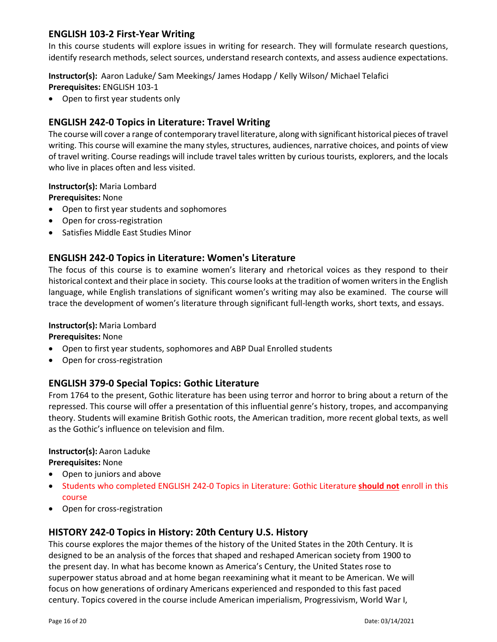# **ENGLISH 103‐2 First‐Year Writing**

In this course students will explore issues in writing for research. They will formulate research questions, identify research methods, select sources, understand research contexts, and assess audience expectations.

**Instructor(s):** Aaron Laduke/ Sam Meekings/ James Hodapp / Kelly Wilson/ Michael Telafici **Prerequisites:** ENGLISH 103‐1

• Open to first year students only

# **ENGLISH 242‐0 Topics in Literature: Travel Writing**

The course will cover a range of contemporary travel literature, along with significant historical pieces oftravel writing. This course will examine the many styles, structures, audiences, narrative choices, and points of view of travel writing. Course readings will include travel tales written by curious tourists, explorers, and the locals who live in places often and less visited.

## **Instructor(s):** Maria Lombard

**Prerequisites:** None

- Open to first year students and sophomores
- Open for cross-registration
- Satisfies Middle East Studies Minor

# **ENGLISH 242‐0 Topics in Literature: Women's Literature**

The focus of this course is to examine women's literary and rhetorical voices as they respond to their historical context and their place in society. This course looks at the tradition of women writers in the English language, while English translations of significant women's writing may also be examined. The course will trace the development of women's literature through significant full‐length works, short texts, and essays.

## **Instructor(s):** Maria Lombard

## **Prerequisites:** None

- Open to first year students, sophomores and ABP Dual Enrolled students
- Open for cross-registration

# **ENGLISH 379‐0 Special Topics: Gothic Literature**

From 1764 to the present, Gothic literature has been using terror and horror to bring about a return of the repressed. This course will offer a presentation of this influential genre's history, tropes, and accompanying theory. Students will examine British Gothic roots, the American tradition, more recent global texts, as well as the Gothic's influence on television and film.

## **Instructor(s):** Aaron Laduke

## **Prerequisites:** None

- Open to juniors and above
- Students who completed ENGLISH 242‐0 Topics in Literature: Gothic Literature **should not** enroll in this course
- Open for cross-registration

# **HISTORY 242‐0 Topics in History: 20th Century U.S. History**

This course explores the major themes of the history of the United States in the 20th Century. It is designed to be an analysis of the forces that shaped and reshaped American society from 1900 to the present day. In what has become known as America's Century, the United States rose to superpower status abroad and at home began reexamining what it meant to be American. We will focus on how generations of ordinary Americans experienced and responded to this fast paced century. Topics covered in the course include American imperialism, Progressivism, World War I,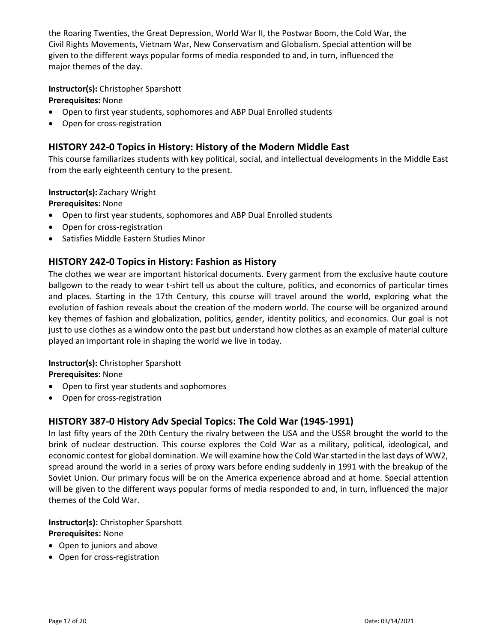the Roaring Twenties, the Great Depression, World War II, the Postwar Boom, the Cold War, the Civil Rights Movements, Vietnam War, New Conservatism and Globalism. Special attention will be given to the different ways popular forms of media responded to and, in turn, influenced the major themes of the day.

## **Instructor(s):** Christopher Sparshott

**Prerequisites:** None

- Open to first year students, sophomores and ABP Dual Enrolled students
- Open for cross-registration

# **HISTORY 242‐0 Topics in History: History of the Modern Middle East**

This course familiarizes students with key political, social, and intellectual developments in the Middle East from the early eighteenth century to the present.

#### **Instructor(s):** Zachary Wright

**Prerequisites:** None

- Open to first year students, sophomores and ABP Dual Enrolled students
- Open for cross-registration
- Satisfies Middle Eastern Studies Minor

# **HISTORY 242‐0 Topics in History: Fashion as History**

The clothes we wear are important historical documents. Every garment from the exclusive haute couture ballgown to the ready to wear t‐shirt tell us about the culture, politics, and economics of particular times and places. Starting in the 17th Century, this course will travel around the world, exploring what the evolution of fashion reveals about the creation of the modern world. The course will be organized around key themes of fashion and globalization, politics, gender, identity politics, and economics. Our goal is not just to use clothes as a window onto the past but understand how clothes as an example of material culture played an important role in shaping the world we live in today.

## **Instructor(s):** Christopher Sparshott

**Prerequisites:** None

- Open to first year students and sophomores
- Open for cross-registration

# **HISTORY 387‐0 History Adv Special Topics: The Cold War (1945‐1991)**

In last fifty years of the 20th Century the rivalry between the USA and the USSR brought the world to the brink of nuclear destruction. This course explores the Cold War as a military, political, ideological, and economic contest for global domination. We will examine how the Cold Warstarted in the last days of WW2, spread around the world in a series of proxy wars before ending suddenly in 1991 with the breakup of the Soviet Union. Our primary focus will be on the America experience abroad and at home. Special attention will be given to the different ways popular forms of media responded to and, in turn, influenced the major themes of the Cold War.

# **Instructor(s):** Christopher Sparshott **Prerequisites:** None

- Open to juniors and above
- Open for cross-registration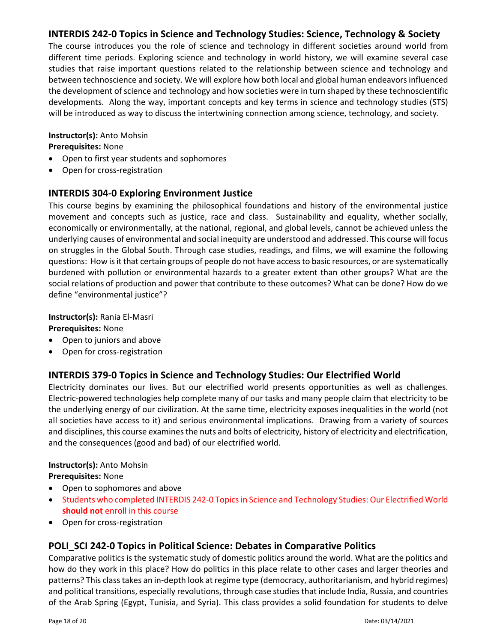# **INTERDIS 242‐0 Topics in Science and Technology Studies: Science, Technology & Society**

The course introduces you the role of science and technology in different societies around world from different time periods. Exploring science and technology in world history, we will examine several case studies that raise important questions related to the relationship between science and technology and between technoscience and society. We will explore how both local and global human endeavors influenced the development of science and technology and how societies were in turn shaped by these technoscientific developments. Along the way, important concepts and key terms in science and technology studies (STS) will be introduced as way to discuss the intertwining connection among science, technology, and society.

# **Instructor(s):** Anto Mohsin

**Prerequisites:** None

- Open to first year students and sophomores
- Open for cross-registration

# **INTERDIS 304‐0 Exploring Environment Justice**

This course begins by examining the philosophical foundations and history of the environmental justice movement and concepts such as justice, race and class. Sustainability and equality, whether socially, economically or environmentally, at the national, regional, and global levels, cannot be achieved unless the underlying causes of environmental and social inequity are understood and addressed. This course will focus on struggles in the Global South. Through case studies, readings, and films, we will examine the following questions: How isit that certain groups of people do not have accessto basic resources, or are systematically burdened with pollution or environmental hazards to a greater extent than other groups? What are the social relations of production and power that contribute to these outcomes? What can be done? How do we define "environmental justice"?

#### **Instructor(s):** Rania El‐Masri **Prerequisites:** None

- Open to juniors and above
- Open for cross-registration

# **INTERDIS 379‐0 Topics in Science and Technology Studies: Our Electrified World**

Electricity dominates our lives. But our electrified world presents opportunities as well as challenges. Electric‐powered technologies help complete many of our tasks and many people claim that electricity to be the underlying energy of our civilization. At the same time, electricity exposes inequalities in the world (not all societies have access to it) and serious environmental implications. Drawing from a variety of sources and disciplines, this course examines the nuts and bolts of electricity, history of electricity and electrification, and the consequences (good and bad) of our electrified world.

## **Instructor(s):** Anto Mohsin

**Prerequisites:** None

- Open to sophomores and above
- Students who completed INTERDIS 242-0 Topics in Science and Technology Studies: Our Electrified World **should not** enroll in this course
- Open for cross-registration

# **POLI\_SCI 242‐0 Topics in Political Science: Debates in Comparative Politics**

Comparative politics is the systematic study of domestic politics around the world. What are the politics and how do they work in this place? How do politics in this place relate to other cases and larger theories and patterns? This classtakes an in‐depth look at regime type (democracy, authoritarianism, and hybrid regimes) and political transitions, especially revolutions, through case studiesthat include India, Russia, and countries of the Arab Spring (Egypt, Tunisia, and Syria). This class provides a solid foundation for students to delve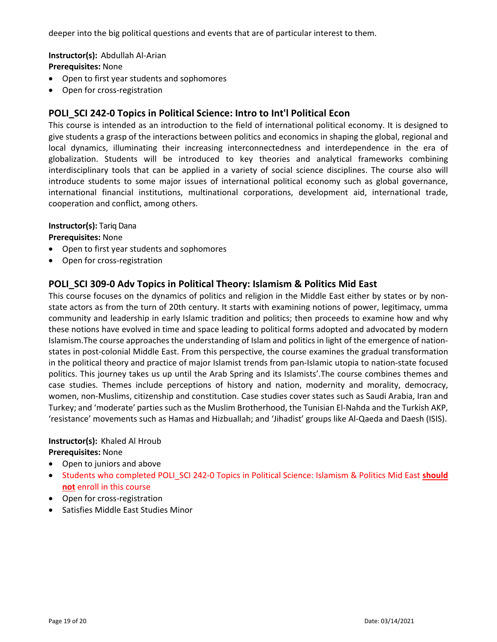deeper into the big political questions and events that are of particular interest to them.

**Instructor(s):** Abdullah Al‐Arian **Prerequisites:** None

- Open to first year students and sophomores
- Open for cross-registration

## **POLI\_SCI 242‐0 Topics in Political Science: Intro to Int'l Political Econ**

This course is intended as an introduction to the field of international political economy. It is designed to give students a grasp of the interactions between politics and economics in shaping the global, regional and local dynamics, illuminating their increasing interconnectedness and interdependence in the era of globalization. Students will be introduced to key theories and analytical frameworks combining interdisciplinary tools that can be applied in a variety of social science disciplines. The course also will introduce students to some major issues of international political economy such as global governance, international financial institutions, multinational corporations, development aid, international trade, cooperation and conflict, among others.

#### **Instructor(s):** Tariq Dana

**Prerequisites:** None

- Open to first year students and sophomores
- Open for cross-registration

## **POLI\_SCI 309‐0 Adv Topics in Political Theory: Islamism & Politics Mid East**

This course focuses on the dynamics of politics and religion in the Middle East either by states or by non‐ state actors as from the turn of 20th century. It starts with examining notions of power, legitimacy, umma community and leadership in early Islamic tradition and politics; then proceeds to examine how and why these notions have evolved in time and space leading to political forms adopted and advocated by modern Islamism.The course approaches the understanding of Islam and politics in light of the emergence of nation‐ states in post-colonial Middle East. From this perspective, the course examines the gradual transformation in the political theory and practice of major Islamist trends from pan‐Islamic utopia to nation‐state focused politics. This journey takes us up until the Arab Spring and its Islamists'.The course combines themes and case studies. Themes include perceptions of history and nation, modernity and morality, democracy, women, non‐Muslims, citizenship and constitution. Case studies cover states such as Saudi Arabia, Iran and Turkey; and 'moderate' parties such as the Muslim Brotherhood, the Tunisian El‐Nahda and the Turkish AKP, 'resistance' movements such as Hamas and Hizbuallah; and 'Jihadist' groups like Al‐Qaeda and Daesh (ISIS).

#### **Instructor(s):** Khaled Al Hroub **Prerequisites:** None

- Open to juniors and above
- Students who completed POLI\_SCI 242-0 Topics in Political Science: Islamism & Politics Mid East **should not** enroll in this course
- Open for cross-registration
- Satisfies Middle East Studies Minor